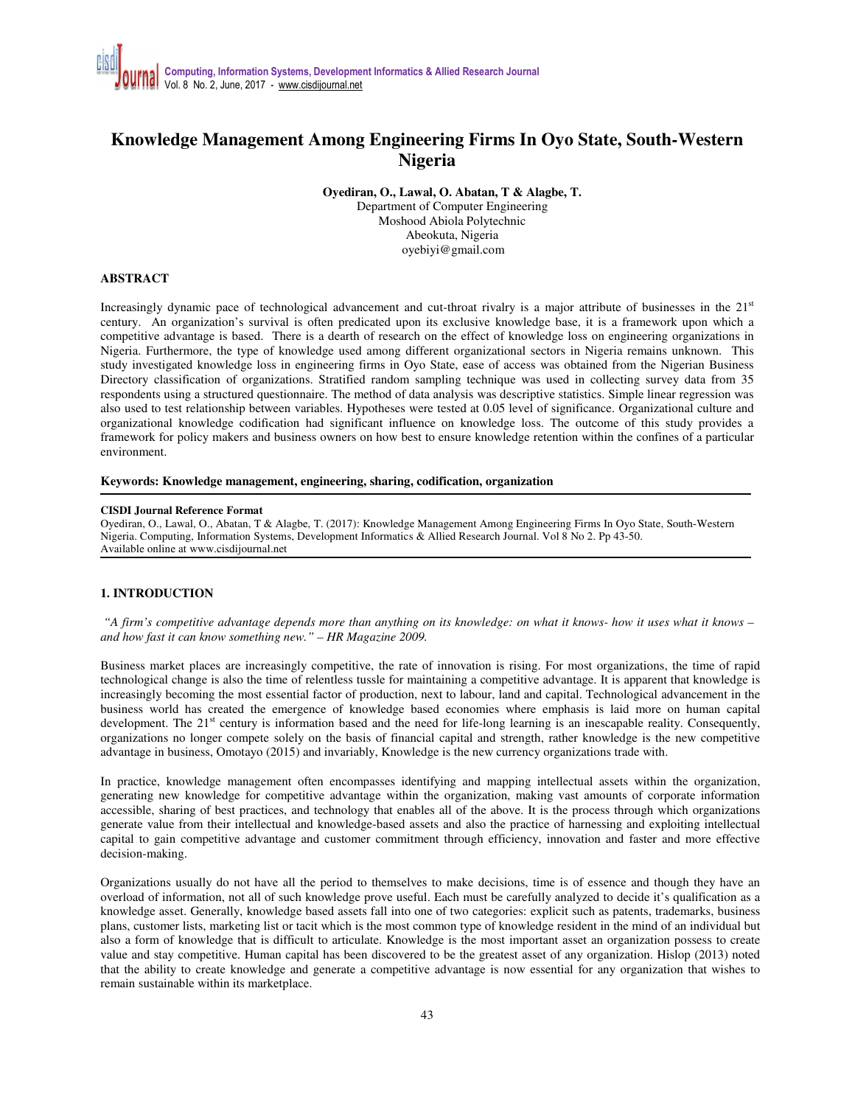# **Knowledge Management Among Engineering Firms In Oyo State, South-Western Nigeria**

**Oyediran, O., Lawal, O. Abatan, T & Alagbe, T.** 

Department of Computer Engineering Moshood Abiola Polytechnic Abeokuta, Nigeria oyebiyi@gmail.com

# **ABSTRACT**

Increasingly dynamic pace of technological advancement and cut-throat rivalry is a major attribute of businesses in the  $21<sup>st</sup>$ century. An organization's survival is often predicated upon its exclusive knowledge base, it is a framework upon which a competitive advantage is based. There is a dearth of research on the effect of knowledge loss on engineering organizations in Nigeria. Furthermore, the type of knowledge used among different organizational sectors in Nigeria remains unknown. This study investigated knowledge loss in engineering firms in Oyo State, ease of access was obtained from the Nigerian Business Directory classification of organizations. Stratified random sampling technique was used in collecting survey data from 35 respondents using a structured questionnaire. The method of data analysis was descriptive statistics. Simple linear regression was also used to test relationship between variables. Hypotheses were tested at 0.05 level of significance. Organizational culture and organizational knowledge codification had significant influence on knowledge loss. The outcome of this study provides a framework for policy makers and business owners on how best to ensure knowledge retention within the confines of a particular environment.

#### **Keywords: Knowledge management, engineering, sharing, codification, organization**

#### **CISDI Journal Reference Format**

Oyediran, O., Lawal, O., Abatan, T & Alagbe, T. (2017): Knowledge Management Among Engineering Firms In Oyo State, South-Western Nigeria. Computing, Information Systems, Development Informatics & Allied Research Journal. Vol 8 No 2. Pp 43-50. Available online at www.cisdijournal.net

# **1. INTRODUCTION**

 *"A firm's competitive advantage depends more than anything on its knowledge: on what it knows- how it uses what it knows – and how fast it can know something new." – HR Magazine 2009.* 

Business market places are increasingly competitive, the rate of innovation is rising. For most organizations, the time of rapid technological change is also the time of relentless tussle for maintaining a competitive advantage. It is apparent that knowledge is increasingly becoming the most essential factor of production, next to labour, land and capital. Technological advancement in the business world has created the emergence of knowledge based economies where emphasis is laid more on human capital development. The 21<sup>st</sup> century is information based and the need for life-long learning is an inescapable reality. Consequently, organizations no longer compete solely on the basis of financial capital and strength, rather knowledge is the new competitive advantage in business, Omotayo (2015) and invariably, Knowledge is the new currency organizations trade with.

In practice, knowledge management often encompasses identifying and mapping intellectual assets within the organization, generating new knowledge for competitive advantage within the organization, making vast amounts of corporate information accessible, sharing of best practices, and technology that enables all of the above. It is the process through which organizations generate value from their intellectual and knowledge-based assets and also the practice of harnessing and exploiting intellectual capital to gain competitive advantage and customer commitment through efficiency, innovation and faster and more effective decision-making.

Organizations usually do not have all the period to themselves to make decisions, time is of essence and though they have an overload of information, not all of such knowledge prove useful. Each must be carefully analyzed to decide it's qualification as a knowledge asset. Generally, knowledge based assets fall into one of two categories: explicit such as patents, trademarks, business plans, customer lists, marketing list or tacit which is the most common type of knowledge resident in the mind of an individual but also a form of knowledge that is difficult to articulate. Knowledge is the most important asset an organization possess to create value and stay competitive. Human capital has been discovered to be the greatest asset of any organization. Hislop (2013) noted that the ability to create knowledge and generate a competitive advantage is now essential for any organization that wishes to remain sustainable within its marketplace.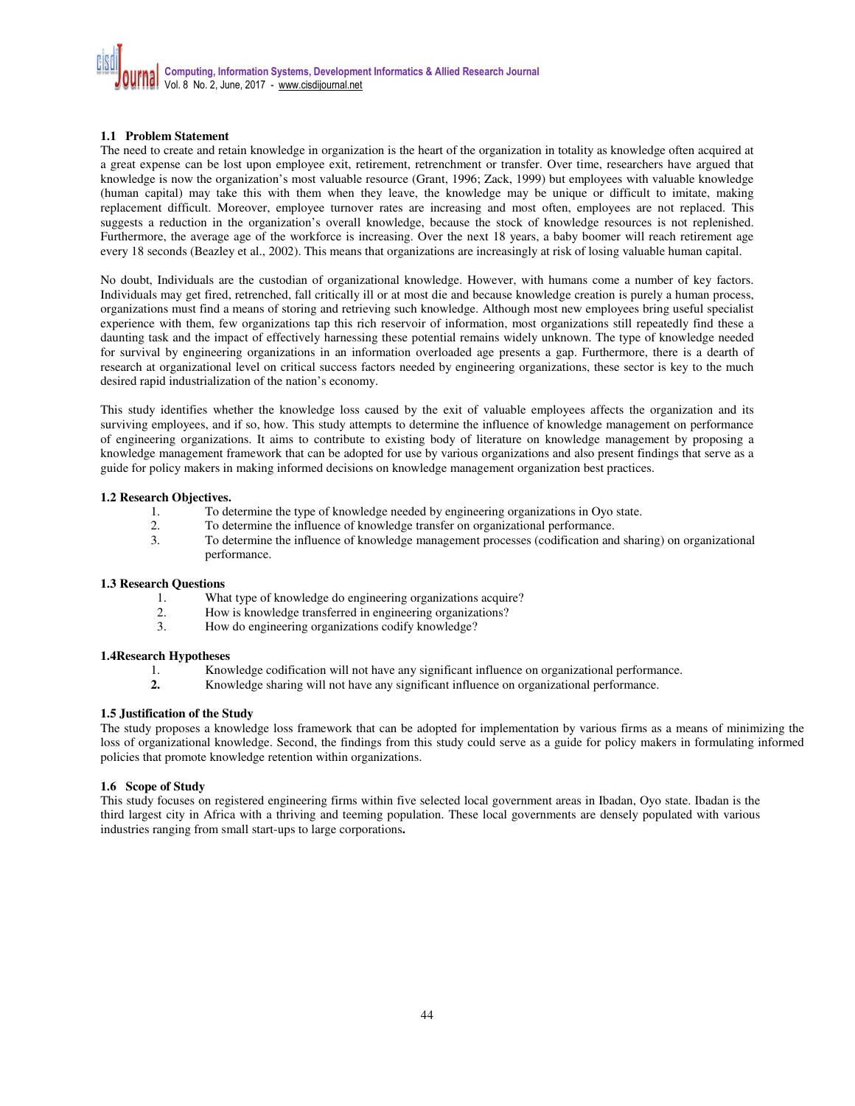# **1.1 Problem Statement**

The need to create and retain knowledge in organization is the heart of the organization in totality as knowledge often acquired at a great expense can be lost upon employee exit, retirement, retrenchment or transfer. Over time, researchers have argued that knowledge is now the organization's most valuable resource (Grant, 1996; Zack, 1999) but employees with valuable knowledge (human capital) may take this with them when they leave, the knowledge may be unique or difficult to imitate, making replacement difficult. Moreover, employee turnover rates are increasing and most often, employees are not replaced. This suggests a reduction in the organization's overall knowledge, because the stock of knowledge resources is not replenished. Furthermore, the average age of the workforce is increasing. Over the next 18 years, a baby boomer will reach retirement age every 18 seconds (Beazley et al., 2002). This means that organizations are increasingly at risk of losing valuable human capital.

No doubt, Individuals are the custodian of organizational knowledge. However, with humans come a number of key factors. Individuals may get fired, retrenched, fall critically ill or at most die and because knowledge creation is purely a human process, organizations must find a means of storing and retrieving such knowledge. Although most new employees bring useful specialist experience with them, few organizations tap this rich reservoir of information, most organizations still repeatedly find these a daunting task and the impact of effectively harnessing these potential remains widely unknown. The type of knowledge needed for survival by engineering organizations in an information overloaded age presents a gap. Furthermore, there is a dearth of research at organizational level on critical success factors needed by engineering organizations, these sector is key to the much desired rapid industrialization of the nation's economy.

This study identifies whether the knowledge loss caused by the exit of valuable employees affects the organization and its surviving employees, and if so, how. This study attempts to determine the influence of knowledge management on performance of engineering organizations. It aims to contribute to existing body of literature on knowledge management by proposing a knowledge management framework that can be adopted for use by various organizations and also present findings that serve as a guide for policy makers in making informed decisions on knowledge management organization best practices.

#### **1.2 Research Objectives.**

- 1. To determine the type of knowledge needed by engineering organizations in Oyo state.<br>2. To determine the influence of knowledge transfer on organizational performance.
- 2. To determine the influence of knowledge transfer on organizational performance.
- 3. To determine the influence of knowledge management processes (codification and sharing) on organizational performance.

# **1.3 Research Questions**

- What type of knowledge do engineering organizations acquire?
- 2. How is knowledge transferred in engineering organizations?
- 3. How do engineering organizations codify knowledge?

#### **1.4Research Hypotheses**

- 1. Knowledge codification will not have any significant influence on organizational performance.
- **2.** Knowledge sharing will not have any significant influence on organizational performance.

#### **1.5 Justification of the Study**

The study proposes a knowledge loss framework that can be adopted for implementation by various firms as a means of minimizing the loss of organizational knowledge. Second, the findings from this study could serve as a guide for policy makers in formulating informed policies that promote knowledge retention within organizations.

#### **1.6 Scope of Study**

This study focuses on registered engineering firms within five selected local government areas in Ibadan, Oyo state. Ibadan is the third largest city in Africa with a thriving and teeming population. These local governments are densely populated with various industries ranging from small start-ups to large corporations**.**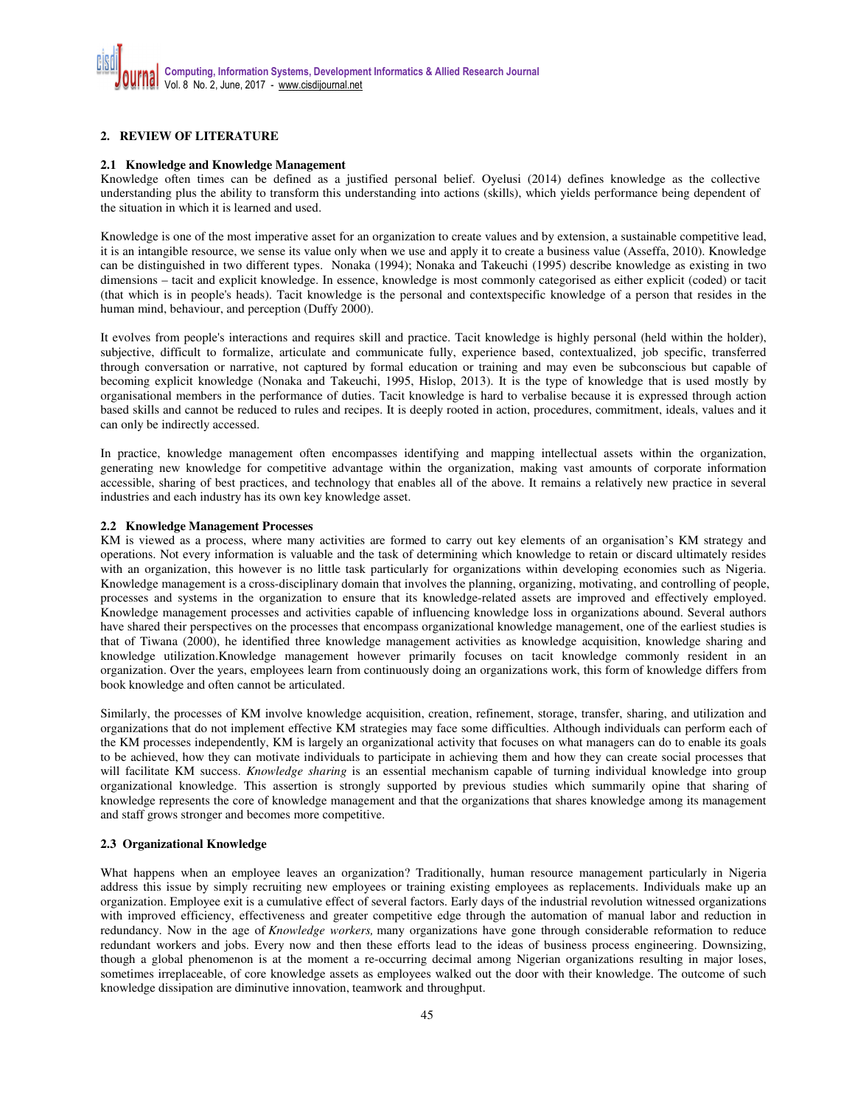# **2. REVIEW OF LITERATURE**

#### **2.1 Knowledge and Knowledge Management**

Knowledge often times can be defined as a justified personal belief. Oyelusi (2014) defines knowledge as the collective understanding plus the ability to transform this understanding into actions (skills), which yields performance being dependent of the situation in which it is learned and used.

Knowledge is one of the most imperative asset for an organization to create values and by extension, a sustainable competitive lead, it is an intangible resource, we sense its value only when we use and apply it to create a business value (Asseffa, 2010). Knowledge can be distinguished in two different types. Nonaka (1994); Nonaka and Takeuchi (1995) describe knowledge as existing in two dimensions – tacit and explicit knowledge. In essence, knowledge is most commonly categorised as either explicit (coded) or tacit (that which is in people's heads). Tacit knowledge is the personal and contextspecific knowledge of a person that resides in the human mind, behaviour, and perception (Duffy 2000).

It evolves from people's interactions and requires skill and practice. Tacit knowledge is highly personal (held within the holder), subjective, difficult to formalize, articulate and communicate fully, experience based, contextualized, job specific, transferred through conversation or narrative, not captured by formal education or training and may even be subconscious but capable of becoming explicit knowledge (Nonaka and Takeuchi, 1995, Hislop, 2013). It is the type of knowledge that is used mostly by organisational members in the performance of duties. Tacit knowledge is hard to verbalise because it is expressed through action based skills and cannot be reduced to rules and recipes. It is deeply rooted in action, procedures, commitment, ideals, values and it can only be indirectly accessed.

In practice, knowledge management often encompasses identifying and mapping intellectual assets within the organization, generating new knowledge for competitive advantage within the organization, making vast amounts of corporate information accessible, sharing of best practices, and technology that enables all of the above. It remains a relatively new practice in several industries and each industry has its own key knowledge asset.

#### **2.2 Knowledge Management Processes**

KM is viewed as a process, where many activities are formed to carry out key elements of an organisation's KM strategy and operations. Not every information is valuable and the task of determining which knowledge to retain or discard ultimately resides with an organization, this however is no little task particularly for organizations within developing economies such as Nigeria. Knowledge management is a cross-disciplinary domain that involves the planning, organizing, motivating, and controlling of people, processes and systems in the organization to ensure that its knowledge-related assets are improved and effectively employed. Knowledge management processes and activities capable of influencing knowledge loss in organizations abound. Several authors have shared their perspectives on the processes that encompass organizational knowledge management, one of the earliest studies is that of Tiwana (2000), he identified three knowledge management activities as knowledge acquisition, knowledge sharing and knowledge utilization.Knowledge management however primarily focuses on tacit knowledge commonly resident in an organization. Over the years, employees learn from continuously doing an organizations work, this form of knowledge differs from book knowledge and often cannot be articulated.

Similarly, the processes of KM involve knowledge acquisition, creation, refinement, storage, transfer, sharing, and utilization and organizations that do not implement effective KM strategies may face some difficulties. Although individuals can perform each of the KM processes independently, KM is largely an organizational activity that focuses on what managers can do to enable its goals to be achieved, how they can motivate individuals to participate in achieving them and how they can create social processes that will facilitate KM success. *Knowledge sharing* is an essential mechanism capable of turning individual knowledge into group organizational knowledge. This assertion is strongly supported by previous studies which summarily opine that sharing of knowledge represents the core of knowledge management and that the organizations that shares knowledge among its management and staff grows stronger and becomes more competitive.

#### **2.3 Organizational Knowledge**

What happens when an employee leaves an organization? Traditionally, human resource management particularly in Nigeria address this issue by simply recruiting new employees or training existing employees as replacements. Individuals make up an organization. Employee exit is a cumulative effect of several factors. Early days of the industrial revolution witnessed organizations with improved efficiency, effectiveness and greater competitive edge through the automation of manual labor and reduction in redundancy. Now in the age of *Knowledge workers,* many organizations have gone through considerable reformation to reduce redundant workers and jobs. Every now and then these efforts lead to the ideas of business process engineering. Downsizing, though a global phenomenon is at the moment a re-occurring decimal among Nigerian organizations resulting in major loses, sometimes irreplaceable, of core knowledge assets as employees walked out the door with their knowledge. The outcome of such knowledge dissipation are diminutive innovation, teamwork and throughput.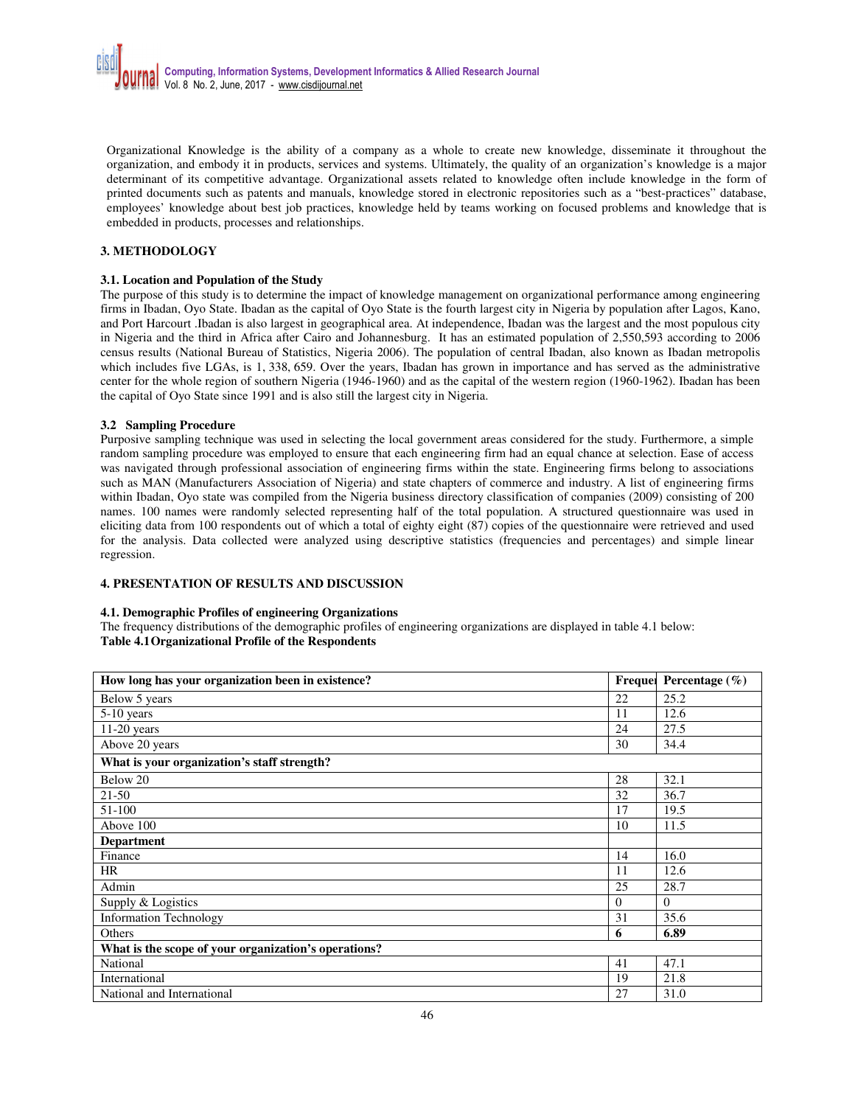Organizational Knowledge is the ability of a company as a whole to create new knowledge, disseminate it throughout the organization, and embody it in products, services and systems. Ultimately, the quality of an organization's knowledge is a major determinant of its competitive advantage. Organizational assets related to knowledge often include knowledge in the form of printed documents such as patents and manuals, knowledge stored in electronic repositories such as a "best-practices" database, employees' knowledge about best job practices, knowledge held by teams working on focused problems and knowledge that is embedded in products, processes and relationships.

# **3. METHODOLOGY**

#### **3.1. Location and Population of the Study**

The purpose of this study is to determine the impact of knowledge management on organizational performance among engineering firms in Ibadan, Oyo State. Ibadan as the capital of Oyo State is the fourth largest city in Nigeria by population after Lagos, Kano, and Port Harcourt .Ibadan is also largest in geographical area. At independence, Ibadan was the largest and the most populous city in Nigeria and the third in Africa after Cairo and Johannesburg. It has an estimated population of 2,550,593 according to 2006 census results (National Bureau of Statistics, Nigeria 2006). The population of central Ibadan, also known as Ibadan metropolis which includes five LGAs, is 1, 338, 659. Over the years, Ibadan has grown in importance and has served as the administrative center for the whole region of southern Nigeria (1946-1960) and as the capital of the western region (1960-1962). Ibadan has been the capital of Oyo State since 1991 and is also still the largest city in Nigeria.

# **3.2 Sampling Procedure**

Purposive sampling technique was used in selecting the local government areas considered for the study. Furthermore, a simple random sampling procedure was employed to ensure that each engineering firm had an equal chance at selection. Ease of access was navigated through professional association of engineering firms within the state. Engineering firms belong to associations such as MAN (Manufacturers Association of Nigeria) and state chapters of commerce and industry. A list of engineering firms within Ibadan, Oyo state was compiled from the Nigeria business directory classification of companies (2009) consisting of 200 names. 100 names were randomly selected representing half of the total population. A structured questionnaire was used in eliciting data from 100 respondents out of which a total of eighty eight (87) copies of the questionnaire were retrieved and used for the analysis. Data collected were analyzed using descriptive statistics (frequencies and percentages) and simple linear regression.

# **4. PRESENTATION OF RESULTS AND DISCUSSION**

#### **4.1. Demographic Profiles of engineering Organizations**

The frequency distributions of the demographic profiles of engineering organizations are displayed in table 4.1 below: **Table 4.1 Organizational Profile of the Respondents**

| How long has your organization been in existence?    |          | Frequel Percentage $(\% )$ |  |  |  |  |
|------------------------------------------------------|----------|----------------------------|--|--|--|--|
| Below 5 years                                        | 22       | 25.2                       |  |  |  |  |
| $5-10$ years                                         | 11       | 12.6                       |  |  |  |  |
| $11-20$ years                                        | 24       | 27.5                       |  |  |  |  |
| Above 20 years                                       | 30       | 34.4                       |  |  |  |  |
| What is your organization's staff strength?          |          |                            |  |  |  |  |
| Below 20                                             | 28       | 32.1                       |  |  |  |  |
| 21-50                                                | 32       | 36.7                       |  |  |  |  |
| 51-100                                               | 17       | 19.5                       |  |  |  |  |
| Above 100                                            | 10       | 11.5                       |  |  |  |  |
| <b>Department</b>                                    |          |                            |  |  |  |  |
| Finance                                              | 14       | 16.0                       |  |  |  |  |
| HR                                                   | 11       | 12.6                       |  |  |  |  |
| Admin                                                | 25       | 28.7                       |  |  |  |  |
| Supply & Logistics                                   | $\Omega$ | $\theta$                   |  |  |  |  |
| <b>Information Technology</b>                        | 31       | 35.6                       |  |  |  |  |
| Others                                               | 6        | 6.89                       |  |  |  |  |
| What is the scope of your organization's operations? |          |                            |  |  |  |  |
| National                                             | 41       | 47.1                       |  |  |  |  |
| International                                        | 19       | 21.8                       |  |  |  |  |
| National and International                           | 27       | 31.0                       |  |  |  |  |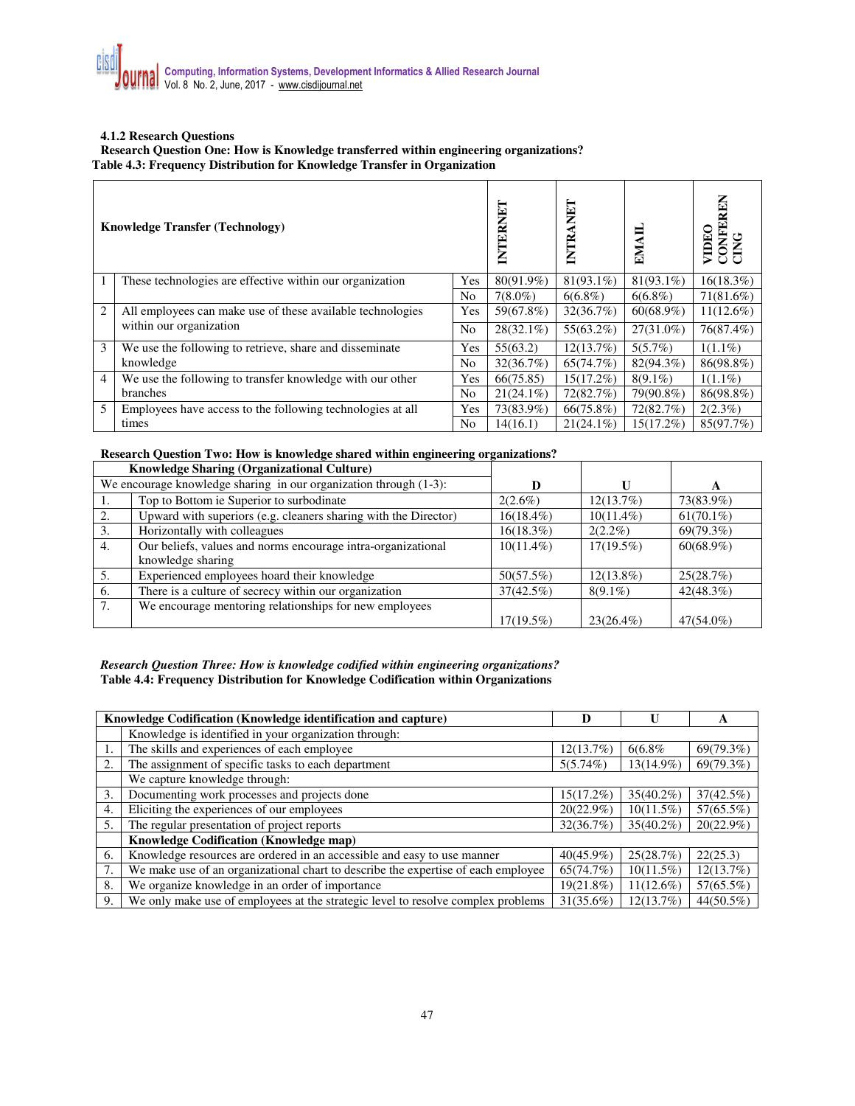#### **4.1.2 Research Questions**

**Research Question One: How is Knowledge transferred within engineering organizations? Table 4.3: Frequency Distribution for Knowledge Transfer in Organization** 

|                | <b>Knowledge Transfer (Technology)</b>                                                | INTERNET | INTRANET     | EMAII        | CONFEREN<br>CING<br>VIDEO |              |
|----------------|---------------------------------------------------------------------------------------|----------|--------------|--------------|---------------------------|--------------|
| 1              | These technologies are effective within our organization                              | Yes      | 80(91.9%)    | $81(93.1\%)$ | $81(93.1\%)$              | 16(18.3%)    |
|                |                                                                                       | No       | $7(8.0\%)$   | $6(6.8\%)$   | $6(6.8\%)$                | $71(81.6\%)$ |
| $\overline{2}$ | All employees can make use of these available technologies<br>within our organization | Yes      | 59(67.8%)    | 32(36.7%)    | $60(68.9\%)$              | $11(12.6\%)$ |
|                |                                                                                       | No       | $28(32.1\%)$ | $55(63.2\%)$ | $27(31.0\%)$              | 76(87.4%)    |
| 3              | We use the following to retrieve, share and disseminate                               | Yes      | 55(63.2)     | 12(13.7%)    | 5(5.7%)                   | $1(1.1\%)$   |
|                | knowledge                                                                             |          | 32(36.7%)    | 65(74.7%)    | 82(94.3%)                 | 86(98.8%)    |
| $\overline{4}$ | We use the following to transfer knowledge with our other                             | Yes      | 66(75.85)    | $15(17.2\%)$ | $8(9.1\%)$                | $1(1.1\%)$   |
|                | branches                                                                              |          | $21(24.1\%)$ | 72(82.7%)    | 79(90.8%)                 | 86(98.8%)    |
| 5              | Employees have access to the following technologies at all                            | Yes      | 73(83.9%)    | $66(75.8\%)$ | 72(82.7%)                 | $2(2.3\%)$   |
|                | times                                                                                 | No       | 14(16.1)     | $21(24.1\%)$ | 15(17.2%)                 | 85(97.7%)    |

# **Research Question Two: How is knowledge shared within engineering organizations?**

|    | Knowledge Sharing (Organizational Culture)                        |              |              |              |
|----|-------------------------------------------------------------------|--------------|--------------|--------------|
|    | We encourage knowledge sharing in our organization through (1-3): |              |              | A            |
|    | Top to Bottom ie Superior to surbodinate                          | $2(2.6\%)$   | 12(13.7%)    | 73(83.9%)    |
|    | Upward with superiors (e.g. cleaners sharing with the Director)   | $16(18.4\%)$ | $10(11.4\%)$ | $61(70.1\%)$ |
| 3. | Horizontally with colleagues                                      | $16(18.3\%)$ | $2(2.2\%)$   | 69(79.3%)    |
| 4. | Our beliefs, values and norms encourage intra-organizational      | $10(11.4\%)$ | $17(19.5\%)$ | $60(68.9\%)$ |
|    | knowledge sharing                                                 |              |              |              |
| 5. | Experienced employees hoard their knowledge                       | 50(57.5%)    | $12(13.8\%)$ | 25(28.7%)    |
| 6. | There is a culture of secrecy within our organization             | $37(42.5\%)$ | $8(9.1\%)$   | 42(48.3%)    |
| 7. | We encourage mentoring relationships for new employees            |              |              |              |
|    |                                                                   | $17(19.5\%)$ | $23(26.4\%)$ | 47(54.0%)    |

# *Research Question Three: How is knowledge codified within engineering organizations?*  **Table 4.4: Frequency Distribution for Knowledge Codification within Organizations**

|    | Knowledge Codification (Knowledge identification and capture)                     | D            |              | A            |  |  |  |  |
|----|-----------------------------------------------------------------------------------|--------------|--------------|--------------|--|--|--|--|
|    | Knowledge is identified in your organization through:                             |              |              |              |  |  |  |  |
| 1. | The skills and experiences of each employee                                       | 12(13.7%)    | 6(6.8%       | 69(79.3%)    |  |  |  |  |
| 2. | The assignment of specific tasks to each department                               | 5(5.74%)     | 13(14.9%)    | 69(79.3%)    |  |  |  |  |
|    | We capture knowledge through:                                                     |              |              |              |  |  |  |  |
| 3. | Documenting work processes and projects done                                      | 15(17.2%)    | $35(40.2\%)$ | 37(42.5%)    |  |  |  |  |
| 4. | Eliciting the experiences of our employees                                        | 20(22.9%)    | $10(11.5\%)$ | 57(65.5%)    |  |  |  |  |
| 5. | The regular presentation of project reports                                       | 32(36.7%)    | $35(40.2\%)$ | $20(22.9\%)$ |  |  |  |  |
|    | <b>Knowledge Codification (Knowledge map)</b>                                     |              |              |              |  |  |  |  |
| 6. | Knowledge resources are ordered in an accessible and easy to use manner           | $40(45.9\%)$ | 25(28.7%)    | 22(25.3)     |  |  |  |  |
| 7. | We make use of an organizational chart to describe the expertise of each employee | 65(74.7%)    | $10(11.5\%)$ | 12(13.7%)    |  |  |  |  |
| 8. | We organize knowledge in an order of importance                                   | 19(21.8%)    | $11(12.6\%)$ | 57(65.5%)    |  |  |  |  |
| 9. | We only make use of employees at the strategic level to resolve complex problems  | 31(35.6%)    | 12(13.7%)    | 44(50.5%)    |  |  |  |  |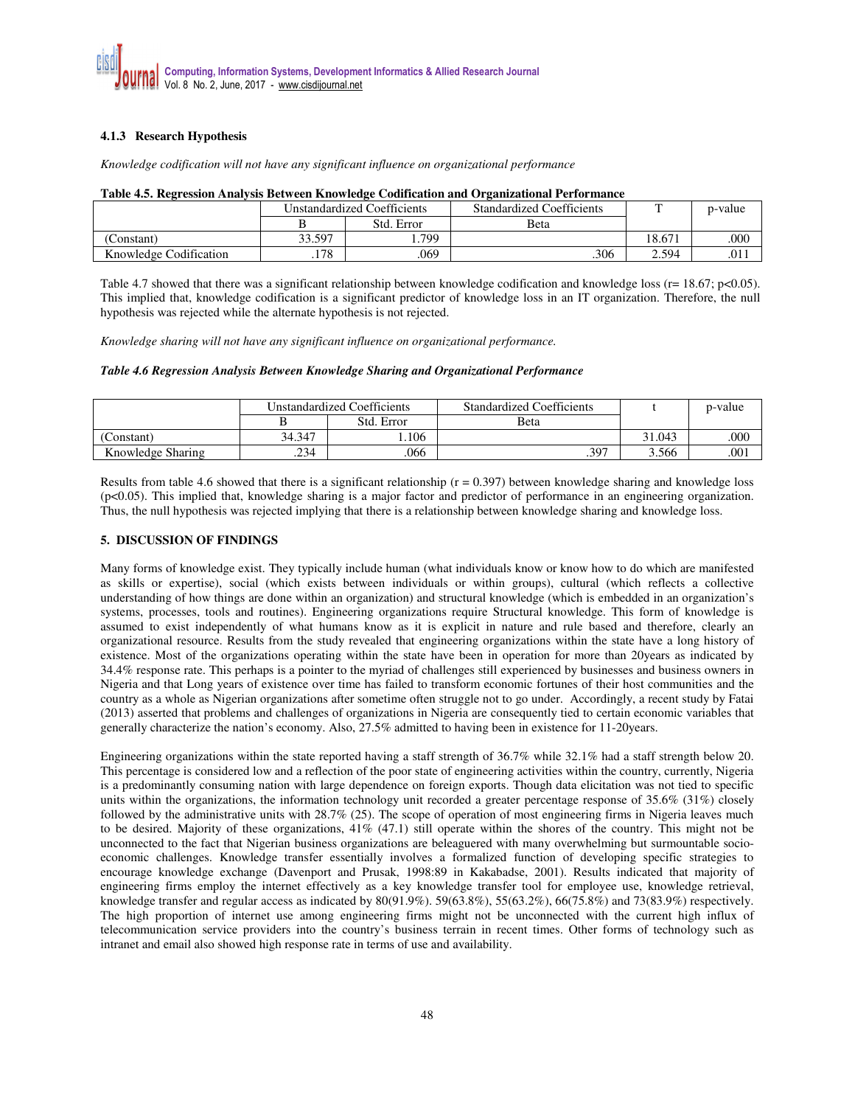# **4.1.3 Research Hypothesis**

*Knowledge codification will not have any significant influence on organizational performance* 

|                        | Unstandardized Coefficients |            | <b>Standardized Coefficients</b> |        | p-value |  |  |
|------------------------|-----------------------------|------------|----------------------------------|--------|---------|--|--|
|                        |                             | Std. Error | Beta                             |        |         |  |  |
| Constant)              | 33.597                      | 799        |                                  | 18.671 | .000    |  |  |
| Knowledge Codification | .178                        | .069       | .306                             | 2.594  | .011    |  |  |

#### **Table 4.5. Regression Analysis Between Knowledge Codification and Organizational Performance**

Table 4.7 showed that there was a significant relationship between knowledge codification and knowledge loss ( $r= 18.67$ ; p<0.05). This implied that, knowledge codification is a significant predictor of knowledge loss in an IT organization. Therefore, the null hypothesis was rejected while the alternate hypothesis is not rejected.

*Knowledge sharing will not have any significant influence on organizational performance.* 

# *Table 4.6 Regression Analysis Between Knowledge Sharing and Organizational Performance*

|                   | Unstandardized Coefficients |            | <b>Standardized Coefficients</b> |        | p-value |
|-------------------|-----------------------------|------------|----------------------------------|--------|---------|
|                   |                             | Std. Error | <b>B</b> eta                     |        |         |
| (Constant)        | 34.347                      | .106       |                                  | 31.043 | .000    |
| Knowledge Sharing | .234                        | 066        | .397                             | 3.566  | .001    |

Results from table 4.6 showed that there is a significant relationship  $(r = 0.397)$  between knowledge sharing and knowledge loss (p<0.05). This implied that, knowledge sharing is a major factor and predictor of performance in an engineering organization. Thus, the null hypothesis was rejected implying that there is a relationship between knowledge sharing and knowledge loss.

# **5. DISCUSSION OF FINDINGS**

Many forms of knowledge exist. They typically include human (what individuals know or know how to do which are manifested as skills or expertise), social (which exists between individuals or within groups), cultural (which reflects a collective understanding of how things are done within an organization) and structural knowledge (which is embedded in an organization's systems, processes, tools and routines). Engineering organizations require Structural knowledge. This form of knowledge is assumed to exist independently of what humans know as it is explicit in nature and rule based and therefore, clearly an organizational resource. Results from the study revealed that engineering organizations within the state have a long history of existence. Most of the organizations operating within the state have been in operation for more than 20years as indicated by 34.4% response rate. This perhaps is a pointer to the myriad of challenges still experienced by businesses and business owners in Nigeria and that Long years of existence over time has failed to transform economic fortunes of their host communities and the country as a whole as Nigerian organizations after sometime often struggle not to go under. Accordingly, a recent study by Fatai (2013) asserted that problems and challenges of organizations in Nigeria are consequently tied to certain economic variables that generally characterize the nation's economy. Also, 27.5% admitted to having been in existence for 11-20years.

Engineering organizations within the state reported having a staff strength of 36.7% while 32.1% had a staff strength below 20. This percentage is considered low and a reflection of the poor state of engineering activities within the country, currently, Nigeria is a predominantly consuming nation with large dependence on foreign exports. Though data elicitation was not tied to specific units within the organizations, the information technology unit recorded a greater percentage response of 35.6% (31%) closely followed by the administrative units with 28.7% (25). The scope of operation of most engineering firms in Nigeria leaves much to be desired. Majority of these organizations, 41% (47.1) still operate within the shores of the country. This might not be unconnected to the fact that Nigerian business organizations are beleaguered with many overwhelming but surmountable socioeconomic challenges. Knowledge transfer essentially involves a formalized function of developing specific strategies to encourage knowledge exchange (Davenport and Prusak, 1998:89 in Kakabadse, 2001). Results indicated that majority of engineering firms employ the internet effectively as a key knowledge transfer tool for employee use, knowledge retrieval, knowledge transfer and regular access as indicated by 80(91.9%). 59(63.8%), 55(63.2%), 66(75.8%) and 73(83.9%) respectively. The high proportion of internet use among engineering firms might not be unconnected with the current high influx of telecommunication service providers into the country's business terrain in recent times. Other forms of technology such as intranet and email also showed high response rate in terms of use and availability.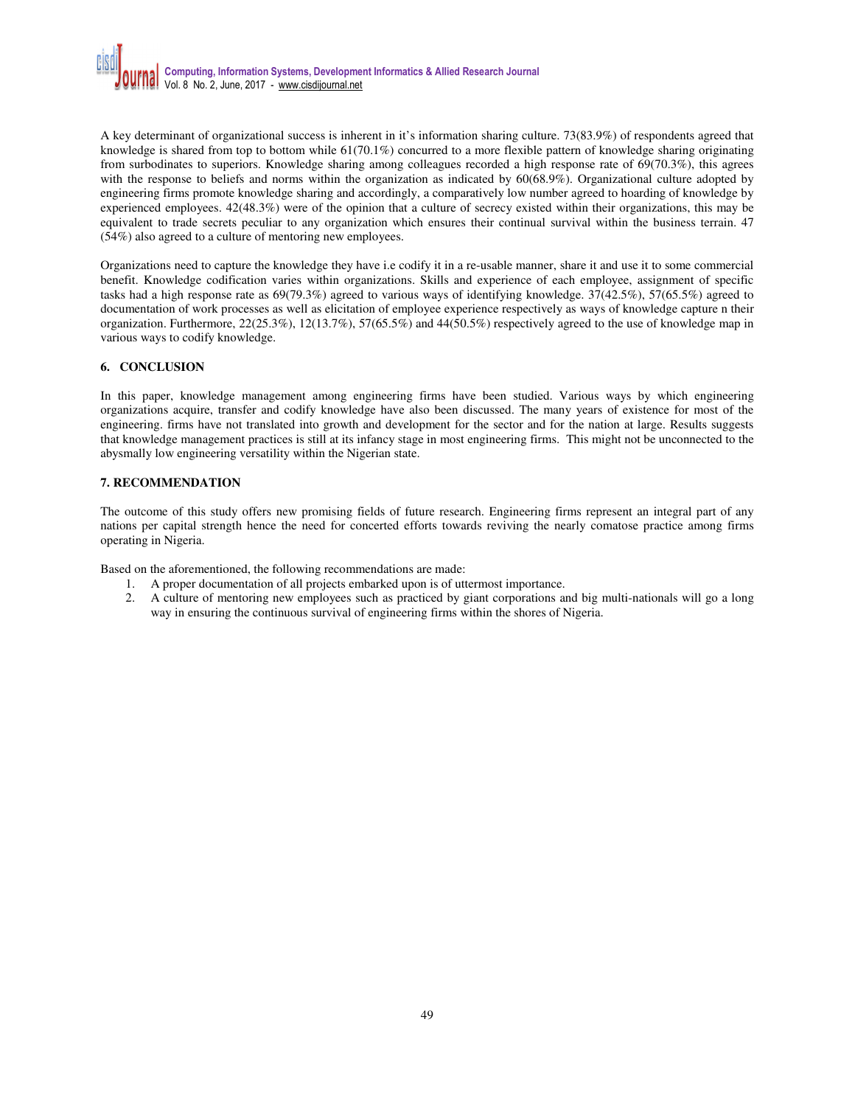

A key determinant of organizational success is inherent in it's information sharing culture. 73(83.9%) of respondents agreed that knowledge is shared from top to bottom while  $61(70.1\%)$  concurred to a more flexible pattern of knowledge sharing originating from surbodinates to superiors. Knowledge sharing among colleagues recorded a high response rate of 69(70.3%), this agrees with the response to beliefs and norms within the organization as indicated by 60(68.9%). Organizational culture adopted by engineering firms promote knowledge sharing and accordingly, a comparatively low number agreed to hoarding of knowledge by experienced employees. 42(48.3%) were of the opinion that a culture of secrecy existed within their organizations, this may be equivalent to trade secrets peculiar to any organization which ensures their continual survival within the business terrain. 47 (54%) also agreed to a culture of mentoring new employees.

Organizations need to capture the knowledge they have i.e codify it in a re-usable manner, share it and use it to some commercial benefit. Knowledge codification varies within organizations. Skills and experience of each employee, assignment of specific tasks had a high response rate as 69(79.3%) agreed to various ways of identifying knowledge. 37(42.5%), 57(65.5%) agreed to documentation of work processes as well as elicitation of employee experience respectively as ways of knowledge capture n their organization. Furthermore, 22(25.3%), 12(13.7%), 57(65.5%) and 44(50.5%) respectively agreed to the use of knowledge map in various ways to codify knowledge.

# **6. CONCLUSION**

In this paper, knowledge management among engineering firms have been studied. Various ways by which engineering organizations acquire, transfer and codify knowledge have also been discussed. The many years of existence for most of the engineering. firms have not translated into growth and development for the sector and for the nation at large. Results suggests that knowledge management practices is still at its infancy stage in most engineering firms. This might not be unconnected to the abysmally low engineering versatility within the Nigerian state.

# **7. RECOMMENDATION**

The outcome of this study offers new promising fields of future research. Engineering firms represent an integral part of any nations per capital strength hence the need for concerted efforts towards reviving the nearly comatose practice among firms operating in Nigeria.

Based on the aforementioned, the following recommendations are made:

- 1. A proper documentation of all projects embarked upon is of uttermost importance.
- 2. A culture of mentoring new employees such as practiced by giant corporations and big multi-nationals will go a long way in ensuring the continuous survival of engineering firms within the shores of Nigeria.